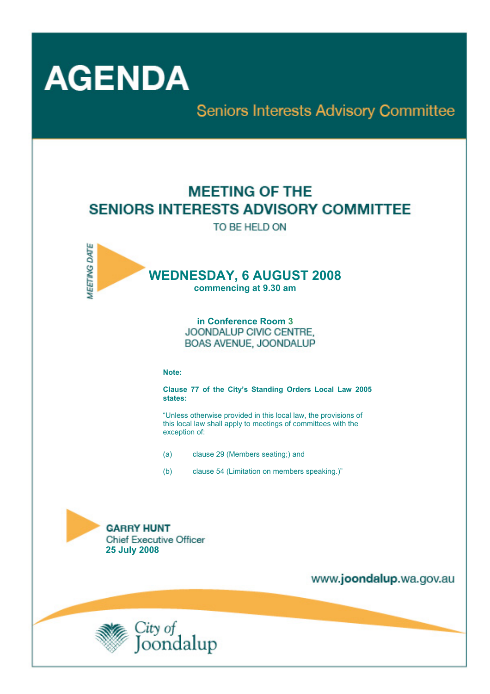

**MEETING DATE** 

**Seniors Interests Advisory Committee** 

# **MEETING OF THE SENIORS INTERESTS ADVISORY COMMITTEE**

TO BE HELD ON

# **WEDNESDAY, 6 AUGUST 2008**

**commencing at 9.30 am** 

**in Conference Room 3** JOONDALUP CIVIC CENTRE. BOAS AVENUE, JOONDALUP

#### **Note:**

**Clause 77 of the City's Standing Orders Local Law 2005 states:** 

"Unless otherwise provided in this local law, the provisions of this local law shall apply to meetings of committees with the exception of:

- (a) clause 29 (Members seating;) and
- (b) clause 54 (Limitation on members speaking.)"



www.joondalup.wa.gov.au

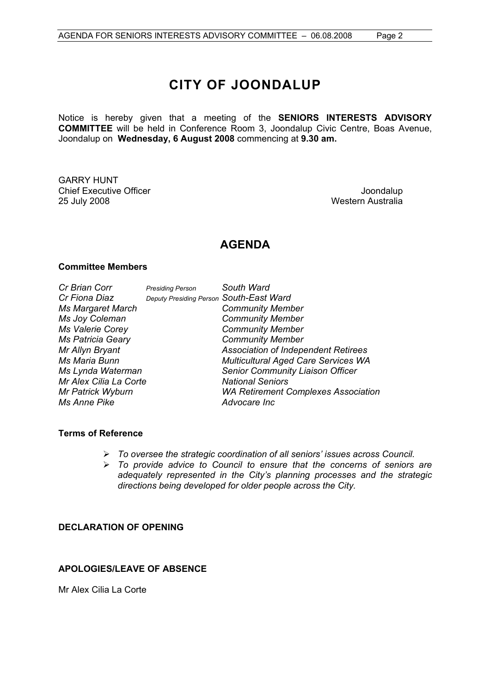# **CITY OF JOONDALUP**

Notice is hereby given that a meeting of the **SENIORS INTERESTS ADVISORY COMMITTEE** will be held in Conference Room 3, Joondalup Civic Centre, Boas Avenue, Joondalup on **Wednesday, 6 August 2008** commencing at **9.30 am.** 

GARRY HUNT Chief Executive Officer  $\Box$  Joondalup 25 July 2008 Western Australia

# **AGENDA**

# **Committee Members**

| Deı                    |
|------------------------|
|                        |
|                        |
|                        |
|                        |
|                        |
|                        |
|                        |
| Mr Alex Cilia La Corte |
|                        |
|                        |
|                        |

*Cr Brian Corr Presiding Person South Ward Cr Fiona Diaz Deputy Presiding Person South-East Ward Ms Margaret March Community Member Community Member Ms Valerie Corey Community Member Ms Patricia Geary Community Member Mr Allyn Bryant Association of Independent Retirees Multicultural Aged Care Services WA* **Senior Community Liaison Officer** *Mational Seniors WA Retirement Complexes Association Ms Anne Pike Advocare Inc*

# **Terms of Reference**

- ¾ *To oversee the strategic coordination of all seniors' issues across Council.*
- ¾ *To provide advice to Council to ensure that the concerns of seniors are adequately represented in the City's planning processes and the strategic directions being developed for older people across the City.*

# **DECLARATION OF OPENING**

# **APOLOGIES/LEAVE OF ABSENCE**

Mr Alex Cilia La Corte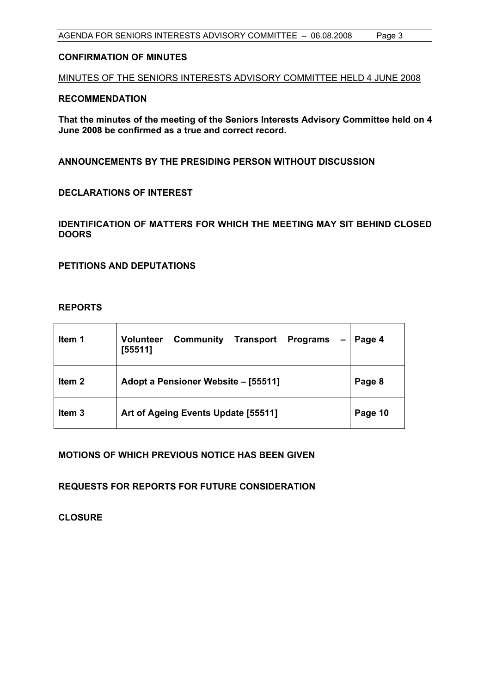# **CONFIRMATION OF MINUTES**

MINUTES OF THE SENIORS INTERESTS ADVISORY COMMITTEE HELD 4 JUNE 2008

# **RECOMMENDATION**

**That the minutes of the meeting of the Seniors Interests Advisory Committee held on 4 June 2008 be confirmed as a true and correct record.** 

**ANNOUNCEMENTS BY THE PRESIDING PERSON WITHOUT DISCUSSION** 

**DECLARATIONS OF INTEREST** 

**IDENTIFICATION OF MATTERS FOR WHICH THE MEETING MAY SIT BEHIND CLOSED DOORS** 

**PETITIONS AND DEPUTATIONS** 

# **REPORTS**

| ltem 1            | <b>Volunteer</b><br>Community<br><b>Transport</b><br><b>Programs</b><br>[55511] | Page 4  |
|-------------------|---------------------------------------------------------------------------------|---------|
| Item 2            | Adopt a Pensioner Website - [55511]                                             | Page 8  |
| Item <sub>3</sub> | Art of Ageing Events Update [55511]                                             | Page 10 |

**MOTIONS OF WHICH PREVIOUS NOTICE HAS BEEN GIVEN** 

**REQUESTS FOR REPORTS FOR FUTURE CONSIDERATION** 

**CLOSURE**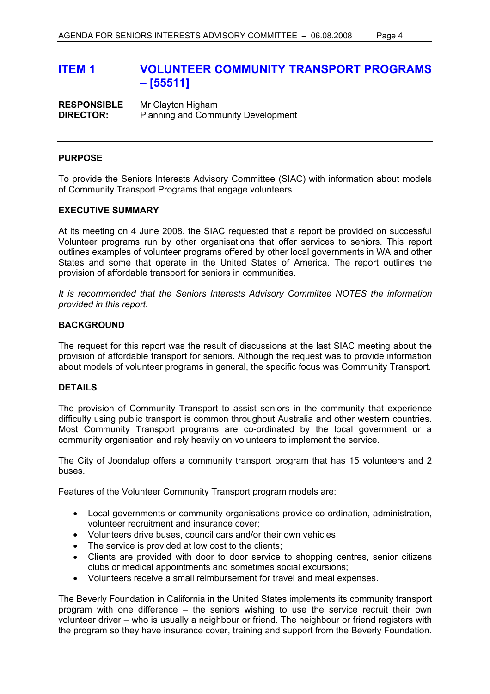# **ITEM 1 VOLUNTEER COMMUNITY TRANSPORT PROGRAMS – [55511]**

**RESPONSIBLE** Mr Clayton Higham **DIRECTOR:** Planning and Community Development

# **PURPOSE**

To provide the Seniors Interests Advisory Committee (SIAC) with information about models of Community Transport Programs that engage volunteers.

# **EXECUTIVE SUMMARY**

At its meeting on 4 June 2008, the SIAC requested that a report be provided on successful Volunteer programs run by other organisations that offer services to seniors. This report outlines examples of volunteer programs offered by other local governments in WA and other States and some that operate in the United States of America. The report outlines the provision of affordable transport for seniors in communities.

*It is recommended that the Seniors Interests Advisory Committee NOTES the information provided in this report.* 

# **BACKGROUND**

The request for this report was the result of discussions at the last SIAC meeting about the provision of affordable transport for seniors. Although the request was to provide information about models of volunteer programs in general, the specific focus was Community Transport.

# **DETAILS**

The provision of Community Transport to assist seniors in the community that experience difficulty using public transport is common throughout Australia and other western countries. Most Community Transport programs are co-ordinated by the local government or a community organisation and rely heavily on volunteers to implement the service.

The City of Joondalup offers a community transport program that has 15 volunteers and 2 buses.

Features of the Volunteer Community Transport program models are:

- Local governments or community organisations provide co-ordination, administration, volunteer recruitment and insurance cover;
- Volunteers drive buses, council cars and/or their own vehicles;
- The service is provided at low cost to the clients:
- Clients are provided with door to door service to shopping centres, senior citizens clubs or medical appointments and sometimes social excursions;
- Volunteers receive a small reimbursement for travel and meal expenses.

The Beverly Foundation in California in the United States implements its community transport program with one difference – the seniors wishing to use the service recruit their own volunteer driver – who is usually a neighbour or friend. The neighbour or friend registers with the program so they have insurance cover, training and support from the Beverly Foundation.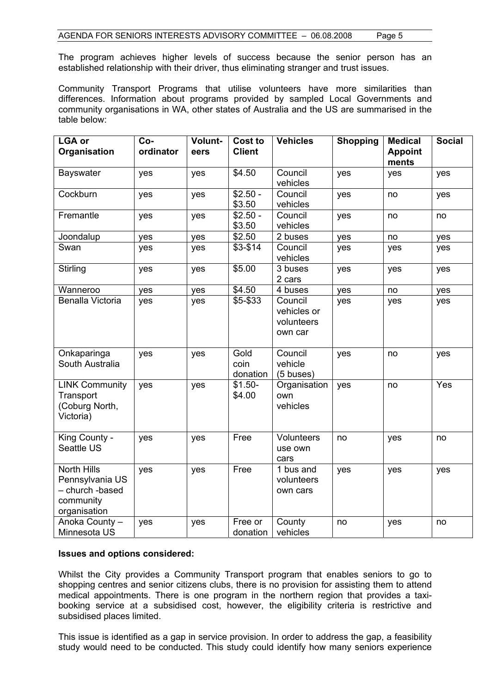The program achieves higher levels of success because the senior person has an established relationship with their driver, thus eliminating stranger and trust issues.

Community Transport Programs that utilise volunteers have more similarities than differences. Information about programs provided by sampled Local Governments and community organisations in WA, other states of Australia and the US are summarised in the table below:

| <b>LGA or</b><br>Organisation                                                         | Co-<br>ordinator | Volunt-<br>eers | <b>Cost to</b><br><b>Client</b> | <b>Vehicles</b>                                 | <b>Shopping</b> | <b>Medical</b><br><b>Appoint</b><br>ments | <b>Social</b> |
|---------------------------------------------------------------------------------------|------------------|-----------------|---------------------------------|-------------------------------------------------|-----------------|-------------------------------------------|---------------|
| Bayswater                                                                             | yes              | yes             | \$4.50                          | Council<br>vehicles                             | yes             | yes                                       | yes           |
| Cockburn                                                                              | yes              | yes             | $$2.50 -$<br>\$3.50             | Council<br>vehicles                             | yes             | no                                        | yes           |
| Fremantle                                                                             | yes              | yes             | $$2.50 -$<br>\$3.50             | Council<br>vehicles                             | yes             | no                                        | no            |
| Joondalup                                                                             | yes              | yes             | \$2.50                          | 2 buses                                         | yes             | no                                        | yes           |
| Swan                                                                                  | yes              | yes             | $$3-$14$                        | Council<br>vehicles                             | yes             | yes                                       | yes           |
| Stirling                                                                              | yes              | yes             | \$5.00                          | 3 buses<br>2 cars                               | yes             | yes                                       | yes           |
| Wanneroo                                                                              | yes              | yes             | $\overline{$4.50}$              | 4 buses                                         | yes             | no                                        | yes           |
| Benalla Victoria                                                                      | yes              | yes             | \$5-\$33                        | Council<br>vehicles or<br>volunteers<br>own car | yes             | yes                                       | yes           |
| Onkaparinga<br>South Australia                                                        | yes              | yes             | Gold<br>coin<br>donation        | Council<br>vehicle<br>$(5$ buses)               | yes             | no                                        | yes           |
| <b>LINK Community</b><br>Transport<br>(Coburg North,<br>Victoria)                     | yes              | yes             | $$1.50-$<br>\$4.00              | Organisation<br>own<br>vehicles                 | yes             | no                                        | Yes           |
| King County -<br>Seattle US                                                           | yes              | yes             | Free                            | <b>Volunteers</b><br>use own<br>cars            | no              | yes                                       | no            |
| <b>North Hills</b><br>Pennsylvania US<br>- church -based<br>community<br>organisation | yes              | yes             | Free                            | 1 bus and<br>volunteers<br>own cars             | yes             | yes                                       | yes           |
| Anoka County -<br>Minnesota US                                                        | yes              | yes             | Free or<br>donation             | County<br>vehicles                              | no              | yes                                       | no            |

#### **Issues and options considered:**

Whilst the City provides a Community Transport program that enables seniors to go to shopping centres and senior citizens clubs, there is no provision for assisting them to attend medical appointments. There is one program in the northern region that provides a taxibooking service at a subsidised cost, however, the eligibility criteria is restrictive and subsidised places limited.

This issue is identified as a gap in service provision. In order to address the gap, a feasibility study would need to be conducted. This study could identify how many seniors experience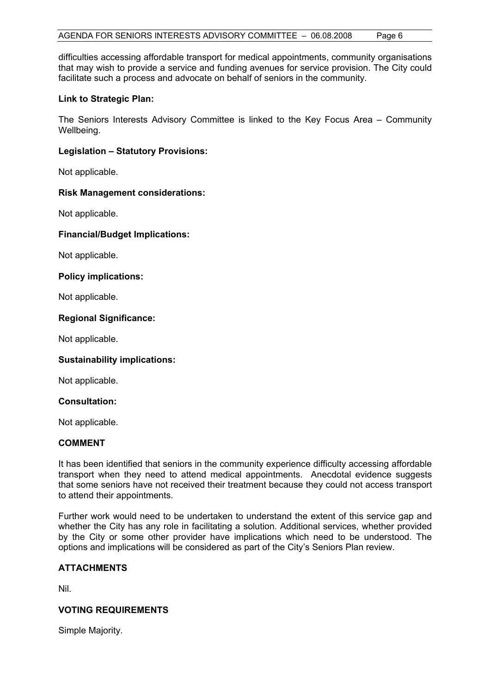difficulties accessing affordable transport for medical appointments, community organisations that may wish to provide a service and funding avenues for service provision. The City could facilitate such a process and advocate on behalf of seniors in the community.

# **Link to Strategic Plan:**

The Seniors Interests Advisory Committee is linked to the Key Focus Area – Community Wellbeing.

# **Legislation – Statutory Provisions:**

Not applicable.

# **Risk Management considerations:**

Not applicable.

# **Financial/Budget Implications:**

Not applicable.

# **Policy implications:**

Not applicable.

# **Regional Significance:**

Not applicable.

# **Sustainability implications:**

Not applicable.

#### **Consultation:**

Not applicable.

# **COMMENT**

It has been identified that seniors in the community experience difficulty accessing affordable transport when they need to attend medical appointments. Anecdotal evidence suggests that some seniors have not received their treatment because they could not access transport to attend their appointments.

Further work would need to be undertaken to understand the extent of this service gap and whether the City has any role in facilitating a solution. Additional services, whether provided by the City or some other provider have implications which need to be understood. The options and implications will be considered as part of the City's Seniors Plan review.

# **ATTACHMENTS**

Nil.

# **VOTING REQUIREMENTS**

Simple Majority.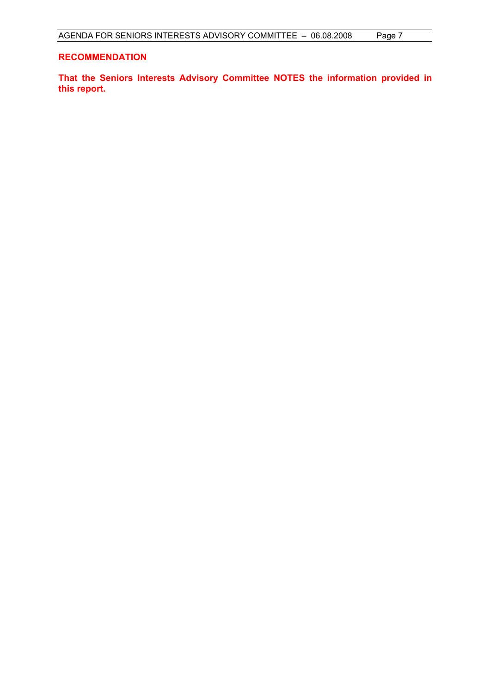# **RECOMMENDATION**

**That the Seniors Interests Advisory Committee NOTES the information provided in this report.**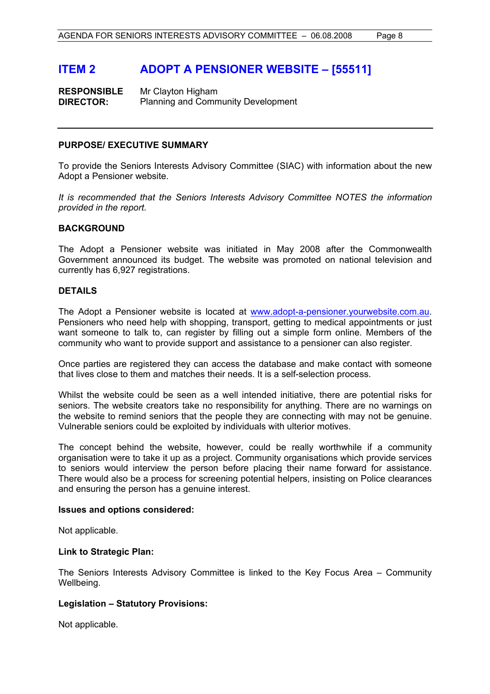# **ITEM 2 ADOPT A PENSIONER WEBSITE – [55511]**

**RESPONSIBLE** Mr Clayton Higham **DIRECTOR:** Planning and Community Development

# **PURPOSE/ EXECUTIVE SUMMARY**

To provide the Seniors Interests Advisory Committee (SIAC) with information about the new Adopt a Pensioner website.

*It is recommended that the Seniors Interests Advisory Committee NOTES the information provided in the report.* 

# **BACKGROUND**

The Adopt a Pensioner website was initiated in May 2008 after the Commonwealth Government announced its budget. The website was promoted on national television and currently has 6,927 registrations.

# **DETAILS**

The Adopt a Pensioner website is located at www.adopt-a-pensioner.yourwebsite.com.au. Pensioners who need help with shopping, transport, getting to medical appointments or just want someone to talk to, can register by filling out a simple form online. Members of the community who want to provide support and assistance to a pensioner can also register.

Once parties are registered they can access the database and make contact with someone that lives close to them and matches their needs. It is a self-selection process.

Whilst the website could be seen as a well intended initiative, there are potential risks for seniors. The website creators take no responsibility for anything. There are no warnings on the website to remind seniors that the people they are connecting with may not be genuine. Vulnerable seniors could be exploited by individuals with ulterior motives.

The concept behind the website, however, could be really worthwhile if a community organisation were to take it up as a project. Community organisations which provide services to seniors would interview the person before placing their name forward for assistance. There would also be a process for screening potential helpers, insisting on Police clearances and ensuring the person has a genuine interest.

# **Issues and options considered:**

Not applicable.

# **Link to Strategic Plan:**

The Seniors Interests Advisory Committee is linked to the Key Focus Area – Community Wellbeing.

# **Legislation – Statutory Provisions:**

Not applicable.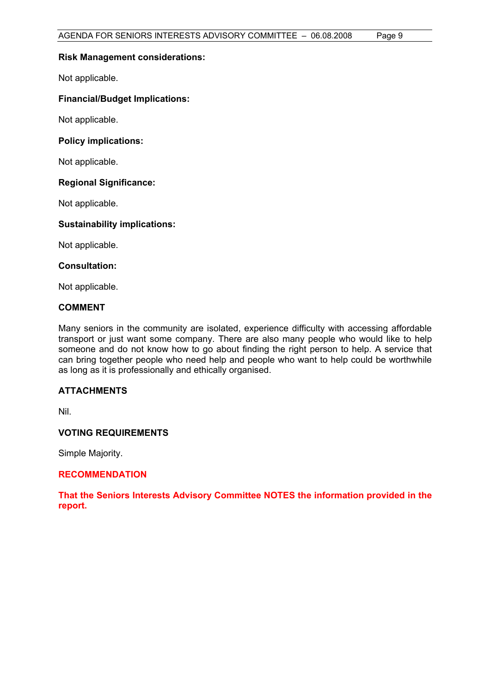# **Risk Management considerations:**

Not applicable.

# **Financial/Budget Implications:**

Not applicable.

# **Policy implications:**

Not applicable.

# **Regional Significance:**

Not applicable.

# **Sustainability implications:**

Not applicable.

# **Consultation:**

Not applicable.

# **COMMENT**

Many seniors in the community are isolated, experience difficulty with accessing affordable transport or just want some company. There are also many people who would like to help someone and do not know how to go about finding the right person to help. A service that can bring together people who need help and people who want to help could be worthwhile as long as it is professionally and ethically organised.

# **ATTACHMENTS**

Nil.

# **VOTING REQUIREMENTS**

Simple Majority.

# **RECOMMENDATION**

**That the Seniors Interests Advisory Committee NOTES the information provided in the report.**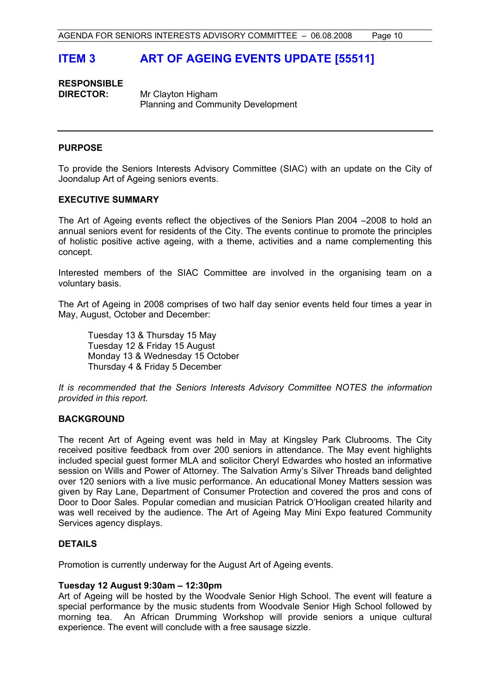# **ITEM 3 ART OF AGEING EVENTS UPDATE [55511]**

# **RESPONSIBLE DIRECTOR:** Mr Clayton Higham

Planning and Community Development

# **PURPOSE**

To provide the Seniors Interests Advisory Committee (SIAC) with an update on the City of Joondalup Art of Ageing seniors events.

# **EXECUTIVE SUMMARY**

The Art of Ageing events reflect the objectives of the Seniors Plan 2004 –2008 to hold an annual seniors event for residents of the City. The events continue to promote the principles of holistic positive active ageing, with a theme, activities and a name complementing this concept.

Interested members of the SIAC Committee are involved in the organising team on a voluntary basis.

The Art of Ageing in 2008 comprises of two half day senior events held four times a year in May, August, October and December:

 Tuesday 13 & Thursday 15 May Tuesday 12 & Friday 15 August Monday 13 & Wednesday 15 October Thursday 4 & Friday 5 December

*It is recommended that the Seniors Interests Advisory Committee NOTES the information provided in this report.* 

# **BACKGROUND**

The recent Art of Ageing event was held in May at Kingsley Park Clubrooms. The City received positive feedback from over 200 seniors in attendance. The May event highlights included special guest former MLA and solicitor Cheryl Edwardes who hosted an informative session on Wills and Power of Attorney. The Salvation Army's Silver Threads band delighted over 120 seniors with a live music performance. An educational Money Matters session was given by Ray Lane, Department of Consumer Protection and covered the pros and cons of Door to Door Sales. Popular comedian and musician Patrick O'Hooligan created hilarity and was well received by the audience. The Art of Ageing May Mini Expo featured Community Services agency displays.

# **DETAILS**

Promotion is currently underway for the August Art of Ageing events.

# **Tuesday 12 August 9:30am – 12:30pm**

Art of Ageing will be hosted by the Woodvale Senior High School. The event will feature a special performance by the music students from Woodvale Senior High School followed by morning tea. An African Drumming Workshop will provide seniors a unique cultural experience. The event will conclude with a free sausage sizzle.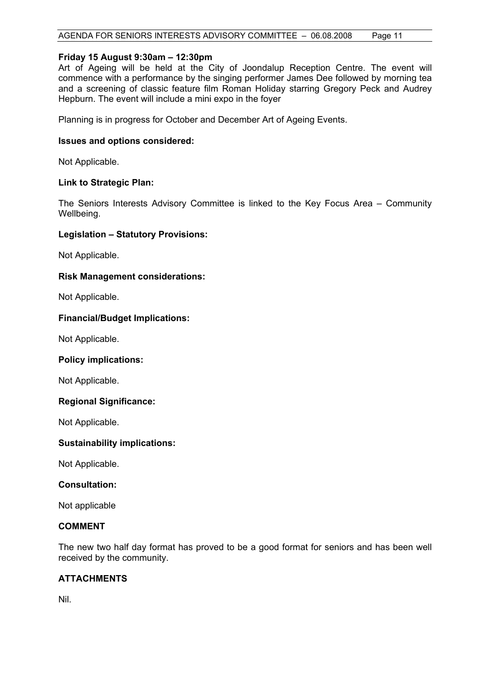# **Friday 15 August 9:30am – 12:30pm**

Art of Ageing will be held at the City of Joondalup Reception Centre. The event will commence with a performance by the singing performer James Dee followed by morning tea and a screening of classic feature film Roman Holiday starring Gregory Peck and Audrey Hepburn. The event will include a mini expo in the foyer

Planning is in progress for October and December Art of Ageing Events.

# **Issues and options considered:**

Not Applicable.

# **Link to Strategic Plan:**

The Seniors Interests Advisory Committee is linked to the Key Focus Area – Community Wellbeing.

# **Legislation – Statutory Provisions:**

Not Applicable.

# **Risk Management considerations:**

Not Applicable.

# **Financial/Budget Implications:**

Not Applicable.

# **Policy implications:**

Not Applicable.

# **Regional Significance:**

Not Applicable.

# **Sustainability implications:**

Not Applicable.

**Consultation:** 

Not applicable

# **COMMENT**

The new two half day format has proved to be a good format for seniors and has been well received by the community.

# **ATTACHMENTS**

Nil.